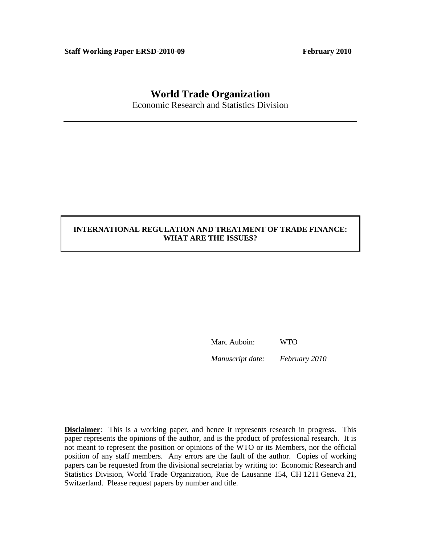# **World Trade Organization**

Economic Research and Statistics Division

## **INTERNATIONAL REGULATION AND TREATMENT OF TRADE FINANCE: WHAT ARE THE ISSUES?**

Marc Auboin: WTO

*Manuscript date: February 2010* 

**Disclaimer**: This is a working paper, and hence it represents research in progress. This paper represents the opinions of the author, and is the product of professional research. It is not meant to represent the position or opinions of the WTO or its Members, nor the official position of any staff members. Any errors are the fault of the author. Copies of working papers can be requested from the divisional secretariat by writing to: Economic Research and Statistics Division, World Trade Organization, Rue de Lausanne 154, CH 1211 Geneva 21, Switzerland. Please request papers by number and title.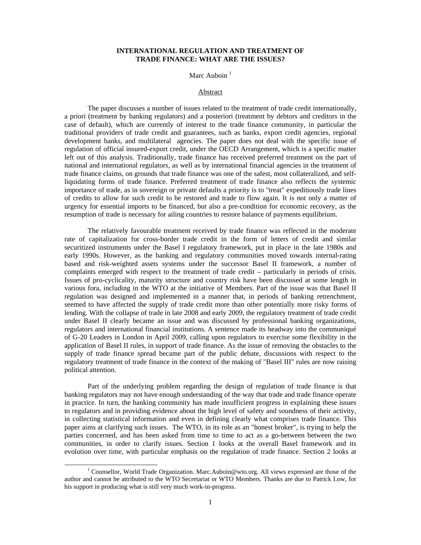## **INTERNATIONAL REGULATION AND TREATMENT OF TRADE FINANCE: WHAT ARE THE ISSUES?**

## Marc Auboin $<sup>1</sup>$ </sup>

## Abstract

 The paper discusses a number of issues related to the treatment of trade credit internationally, a priori (treatment by banking regulators) and a posteriori (treatment by debtors and creditors in the case of default), which are currently of interest to the trade finance community, in particular the traditional providers of trade credit and guarantees, such as banks, export credit agencies, regional development banks, and multilateral agencies. The paper does not deal with the specific issue of regulation of official insured-export credit, under the OECD Arrangement, which is a specific matter left out of this analysis. Traditionally, trade finance has received preferred treatment on the part of national and international regulators, as well as by international financial agencies in the treatment of trade finance claims, on grounds that trade finance was one of the safest, most collateralized, and selfliquidating forms of trade finance. Preferred treatment of trade finance also reflects the systemic importance of trade, as in sovereign or private defaults a priority is to "treat" expeditiously trade lines of credits to allow for such credit to be restored and trade to flow again. It is not only a matter of urgency for essential imports to be financed, but also a pre-condition for economic recovery, as the resumption of trade is necessary for ailing countries to restore balance of payments equilibrium.

 The relatively favourable treatment received by trade finance was reflected in the moderate rate of capitalization for cross-border trade credit in the form of letters of credit and similar securitized instruments under the Basel I regulatory framework, put in place in the late 1980s and early 1990s. However, as the banking and regulatory communities moved towards internal-rating based and risk-weighted assets systems under the successor Basel II framework, a number of complaints emerged with respect to the treatment of trade credit – particularly in periods of crisis. Issues of pro-cyclicality, maturity structure and country risk have been discussed at some length in various fora, including in the WTO at the initiative of Members. Part of the issue was that Basel II regulation was designed and implemented in a manner that, in periods of banking retrenchment, seemed to have affected the supply of trade credit more than other potentially more risky forms of lending. With the collapse of trade in late 2008 and early 2009, the regulatory treatment of trade credit under Basel II clearly became an issue and was discussed by professional banking organizations, regulators and international financial institutions. A sentence made its headway into the communiqué of G-20 Leaders in London in April 2009, calling upon regulators to exercise some flexibility in the application of Basel II rules, in support of trade finance. As the issue of removing the obstacles to the supply of trade finance spread became part of the public debate, discussions with respect to the regulatory treatment of trade finance in the context of the making of "Basel III" rules are now raising political attention.

 Part of the underlying problem regarding the design of regulation of trade finance is that banking regulators may not have enough understanding of the way that trade and trade finance operate in practice. In turn, the banking community has made insufficient progress in explaining these issues to regulators and in providing evidence about the high level of safety and soundness of their activity, in collecting statistical information and even in defining clearly what comprises trade finance. This paper aims at clarifying such issues. The WTO, in its role as an "honest broker", is trying to help the parties concerned, and has been asked from time to time to act as a go-between between the two communities, in order to clarify issues. Section 1 looks at the overall Basel framework and its evolution over time, with particular emphasis on the regulation of trade finance. Section 2 looks at

 $\frac{1}{1}$ <sup>1</sup> Counsellor, World Trade Organization. Marc.Auboin@wto.org. All views expressed are those of the author and cannot be attributed to the WTO Secretariat or WTO Members. Thanks are due to Patrick Low, for his support in producing what is still very much work-in-progress.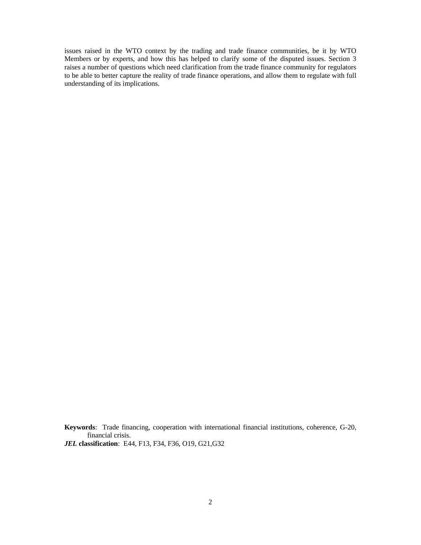issues raised in the WTO context by the trading and trade finance communities, be it by WTO Members or by experts, and how this has helped to clarify some of the disputed issues. Section 3 raises a number of questions which need clarification from the trade finance community for regulators to be able to better capture the reality of trade finance operations, and allow them to regulate with full understanding of its implications.

**Keywords**: Trade financing, cooperation with international financial institutions, coherence, G-20, financial crisis.

*JEL* **classification**: E44, F13, F34, F36, O19, G21,G32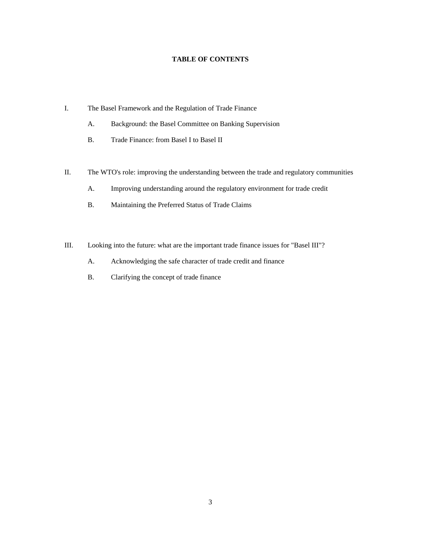## **TABLE OF CONTENTS**

- I. The Basel Framework and the Regulation of Trade Finance
	- A. Background: the Basel Committee on Banking Supervision
	- B. Trade Finance: from Basel I to Basel II
- II. The WTO's role: improving the understanding between the trade and regulatory communities
	- A. Improving understanding around the regulatory environment for trade credit
	- B. Maintaining the Preferred Status of Trade Claims
- III. Looking into the future: what are the important trade finance issues for "Basel III"?
	- A. Acknowledging the safe character of trade credit and finance
	- B. Clarifying the concept of trade finance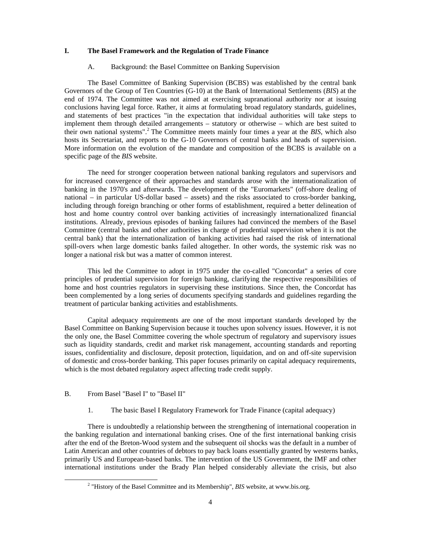## **I. The Basel Framework and the Regulation of Trade Finance**

#### A. Background: the Basel Committee on Banking Supervision

 The Basel Committee of Banking Supervision (BCBS) was established by the central bank Governors of the Group of Ten Countries (G-10) at the Bank of International Settlements (*BIS*) at the end of 1974. The Committee was not aimed at exercising supranational authority nor at issuing conclusions having legal force. Rather, it aims at formulating broad regulatory standards, guidelines, and statements of best practices "in the expectation that individual authorities will take steps to implement them through detailed arrangements – statutory or otherwise – which are best suited to their own national systems".<sup>2</sup> The Committee meets mainly four times a year at the *BIS*, which also hosts its Secretariat, and reports to the G-10 Governors of central banks and heads of supervision. More information on the evolution of the mandate and composition of the BCBS is available on a specific page of the *BIS* website.

 The need for stronger cooperation between national banking regulators and supervisors and for increased convergence of their approaches and standards arose with the internationalization of banking in the 1970's and afterwards. The development of the "Euromarkets" (off-shore dealing of national – in particular US-dollar based – assets) and the risks associated to cross-border banking, including through foreign branching or other forms of establishment, required a better delineation of host and home country control over banking activities of increasingly internationalized financial institutions. Already, previous episodes of banking failures had convinced the members of the Basel Committee (central banks and other authorities in charge of prudential supervision when it is not the central bank) that the internationalization of banking activities had raised the risk of international spill-overs when large domestic banks failed altogether. In other words, the systemic risk was no longer a national risk but was a matter of common interest.

 This led the Committee to adopt in 1975 under the co-called "Concordat" a series of core principles of prudential supervision for foreign banking, clarifying the respective responsibilities of home and host countries regulators in supervising these institutions. Since then, the Concordat has been complemented by a long series of documents specifying standards and guidelines regarding the treatment of particular banking activities and establishments.

 Capital adequacy requirements are one of the most important standards developed by the Basel Committee on Banking Supervision because it touches upon solvency issues. However, it is not the only one, the Basel Committee covering the whole spectrum of regulatory and supervisory issues such as liquidity standards, credit and market risk management, accounting standards and reporting issues, confidentiality and disclosure, deposit protection, liquidation, and on and off-site supervision of domestic and cross-border banking. This paper focuses primarily on capital adequacy requirements, which is the most debated regulatory aspect affecting trade credit supply.

## B. From Basel "Basel I" to "Basel II"

1. The basic Basel I Regulatory Framework for Trade Finance (capital adequacy)

 There is undoubtedly a relationship between the strengthening of international cooperation in the banking regulation and international banking crises. One of the first international banking crisis after the end of the Breton-Wood system and the subsequent oil shocks was the default in a number of Latin American and other countries of debtors to pay back loans essentially granted by westerns banks, primarily US and European-based banks. The intervention of the US Government, the IMF and other international institutions under the Brady Plan helped considerably alleviate the crisis, but also

 $\begin{array}{c|c}\n\hline\n\text{2}\n\end{array}$ <sup>2</sup> "History of the Basel Committee and its Membership", *BIS* website, at www.bis.org.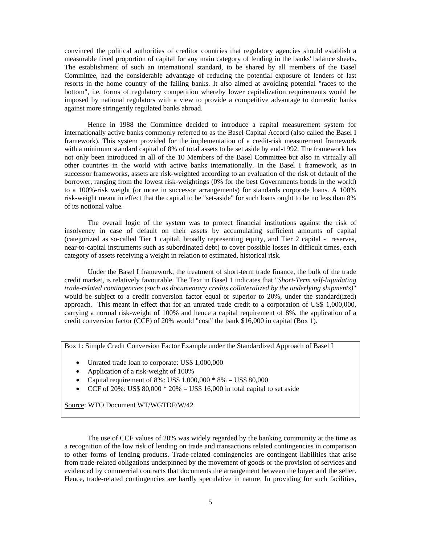convinced the political authorities of creditor countries that regulatory agencies should establish a measurable fixed proportion of capital for any main category of lending in the banks' balance sheets. The establishment of such an international standard, to be shared by all members of the Basel Committee, had the considerable advantage of reducing the potential exposure of lenders of last resorts in the home country of the failing banks. It also aimed at avoiding potential "races to the bottom", i.e. forms of regulatory competition whereby lower capitalization requirements would be imposed by national regulators with a view to provide a competitive advantage to domestic banks against more stringently regulated banks abroad.

 Hence in 1988 the Committee decided to introduce a capital measurement system for internationally active banks commonly referred to as the Basel Capital Accord (also called the Basel I framework). This system provided for the implementation of a credit-risk measurement framework with a minimum standard capital of 8% of total assets to be set aside by end-1992. The framework has not only been introduced in all of the 10 Members of the Basel Committee but also in virtually all other countries in the world with active banks internationally. In the Basel I framework, as in successor frameworks, assets are risk-weighted according to an evaluation of the risk of default of the borrower, ranging from the lowest risk-weightings (0% for the best Governments bonds in the world) to a 100%-risk weight (or more in successor arrangements) for standards corporate loans. A 100% risk-weight meant in effect that the capital to be "set-aside" for such loans ought to be no less than 8% of its notional value.

 The overall logic of the system was to protect financial institutions against the risk of insolvency in case of default on their assets by accumulating sufficient amounts of capital (categorized as so-called Tier 1 capital, broadly representing equity, and Tier 2 capital - reserves, near-to-capital instruments such as subordinated debt) to cover possible losses in difficult times, each category of assets receiving a weight in relation to estimated, historical risk.

 Under the Basel I framework, the treatment of short-term trade finance, the bulk of the trade credit market, is relatively favourable. The Text in Basel 1 indicates that "*Short-Term self-liquidating trade-related contingencies (such as documentary credits collateralized by the underlying shipments)*" would be subject to a credit conversion factor equal or superior to 20%, under the standard(ized) approach. This meant in effect that for an unrated trade credit to a corporation of US\$ 1,000,000, carrying a normal risk-weight of 100% and hence a capital requirement of 8%, the application of a credit conversion factor (CCF) of 20% would "cost" the bank \$16,000 in capital (Box 1).

Box 1: Simple Credit Conversion Factor Example under the Standardized Approach of Basel I

- Unrated trade loan to corporate: US\$ 1,000,000
- Application of a risk-weight of 100%
- Capital requirement of  $8\%$ : US\$  $1,000,000 * 8\% = US$ 80,000$
- CCF of 20%: US\$  $80,000 * 20% = US$ 16,000 in total capital to set aside$

Source: WTO Document WT/WGTDF/W/42

 The use of CCF values of 20% was widely regarded by the banking community at the time as a recognition of the low risk of lending on trade and transactions related contingencies in comparison to other forms of lending products. Trade-related contingencies are contingent liabilities that arise from trade-related obligations underpinned by the movement of goods or the provision of services and evidenced by commercial contracts that documents the arrangement between the buyer and the seller. Hence, trade-related contingencies are hardly speculative in nature. In providing for such facilities,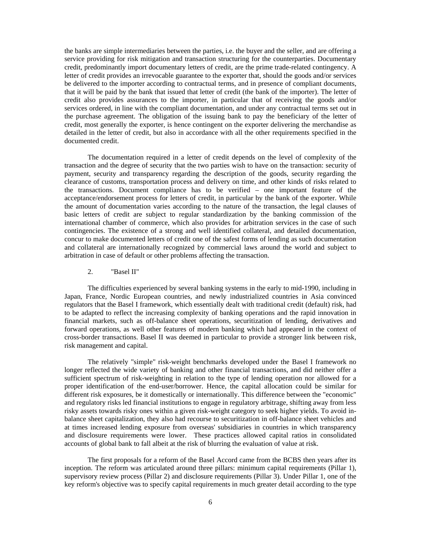the banks are simple intermediaries between the parties, i.e. the buyer and the seller, and are offering a service providing for risk mitigation and transaction structuring for the counterparties. Documentary credit, predominantly import documentary letters of credit, are the prime trade-related contingency. A letter of credit provides an irrevocable guarantee to the exporter that, should the goods and/or services be delivered to the importer according to contractual terms, and in presence of compliant documents, that it will be paid by the bank that issued that letter of credit (the bank of the importer). The letter of credit also provides assurances to the importer, in particular that of receiving the goods and/or services ordered, in line with the compliant documentation, and under any contractual terms set out in the purchase agreement. The obligation of the issuing bank to pay the beneficiary of the letter of credit, most generally the exporter, is hence contingent on the exporter delivering the merchandise as detailed in the letter of credit, but also in accordance with all the other requirements specified in the documented credit.

 The documentation required in a letter of credit depends on the level of complexity of the transaction and the degree of security that the two parties wish to have on the transaction: security of payment, security and transparency regarding the description of the goods, security regarding the clearance of customs, transportation process and delivery on time, and other kinds of risks related to the transactions. Document compliance has to be verified – one important feature of the acceptance/endorsement process for letters of credit, in particular by the bank of the exporter. While the amount of documentation varies according to the nature of the transaction, the legal clauses of basic letters of credit are subject to regular standardization by the banking commission of the international chamber of commerce, which also provides for arbitration services in the case of such contingencies. The existence of a strong and well identified collateral, and detailed documentation, concur to make documented letters of credit one of the safest forms of lending as such documentation and collateral are internationally recognized by commercial laws around the world and subject to arbitration in case of default or other problems affecting the transaction.

#### 2. "Basel II"

 The difficulties experienced by several banking systems in the early to mid-1990, including in Japan, France, Nordic European countries, and newly industrialized countries in Asia convinced regulators that the Basel I framework, which essentially dealt with traditional credit (default) risk, had to be adapted to reflect the increasing complexity of banking operations and the rapid innovation in financial markets, such as off-balance sheet operations, securitization of lending, derivatives and forward operations, as well other features of modern banking which had appeared in the context of cross-border transactions. Basel II was deemed in particular to provide a stronger link between risk, risk management and capital.

 The relatively "simple" risk-weight benchmarks developed under the Basel I framework no longer reflected the wide variety of banking and other financial transactions, and did neither offer a sufficient spectrum of risk-weighting in relation to the type of lending operation nor allowed for a proper identification of the end-user/borrower. Hence, the capital allocation could be similar for different risk exposures, be it domestically or internationally. This difference between the "economic" and regulatory risks led financial institutions to engage in regulatory arbitrage, shifting away from less risky assets towards risky ones within a given risk-weight category to seek higher yields. To avoid inbalance sheet capitalization, they also had recourse to securitization in off-balance sheet vehicles and at times increased lending exposure from overseas' subsidiaries in countries in which transparency and disclosure requirements were lower. These practices allowed capital ratios in consolidated accounts of global bank to fall albeit at the risk of blurring the evaluation of value at risk.

 The first proposals for a reform of the Basel Accord came from the BCBS then years after its inception. The reform was articulated around three pillars: minimum capital requirements (Pillar 1), supervisory review process (Pillar 2) and disclosure requirements (Pillar 3). Under Pillar 1, one of the key reform's objective was to specify capital requirements in much greater detail according to the type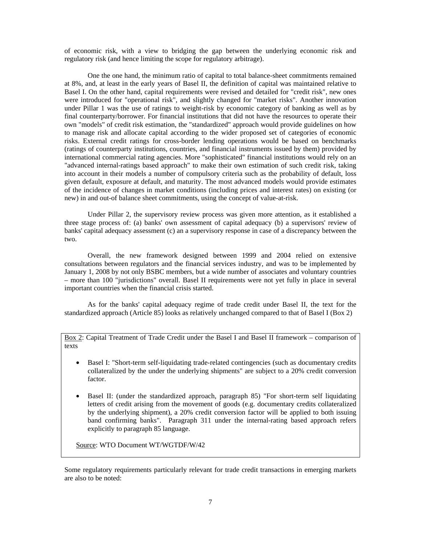of economic risk, with a view to bridging the gap between the underlying economic risk and regulatory risk (and hence limiting the scope for regulatory arbitrage).

 One the one hand, the minimum ratio of capital to total balance-sheet commitments remained at 8%, and, at least in the early years of Basel II, the definition of capital was maintained relative to Basel I. On the other hand, capital requirements were revised and detailed for "credit risk", new ones were introduced for "operational risk", and slightly changed for "market risks". Another innovation under Pillar 1 was the use of ratings to weight-risk by economic category of banking as well as by final counterparty/borrower. For financial institutions that did not have the resources to operate their own "models" of credit risk estimation, the "standardized" approach would provide guidelines on how to manage risk and allocate capital according to the wider proposed set of categories of economic risks. External credit ratings for cross-border lending operations would be based on benchmarks (ratings of counterparty institutions, countries, and financial instruments issued by them) provided by international commercial rating agencies. More "sophisticated" financial institutions would rely on an "advanced internal-ratings based approach" to make their own estimation of such credit risk, taking into account in their models a number of compulsory criteria such as the probability of default, loss given default, exposure at default, and maturity. The most advanced models would provide estimates of the incidence of changes in market conditions (including prices and interest rates) on existing (or new) in and out-of balance sheet commitments, using the concept of value-at-risk.

 Under Pillar 2, the supervisory review process was given more attention, as it established a three stage process of: (a) banks' own assessment of capital adequacy (b) a supervisors' review of banks' capital adequacy assessment (c) an a supervisory response in case of a discrepancy between the two.

 Overall, the new framework designed between 1999 and 2004 relied on extensive consultations between regulators and the financial services industry, and was to be implemented by January 1, 2008 by not only BSBC members, but a wide number of associates and voluntary countries – more than 100 "jurisdictions" overall. Basel II requirements were not yet fully in place in several important countries when the financial crisis started.

 As for the banks' capital adequacy regime of trade credit under Basel II, the text for the standardized approach (Article 85) looks as relatively unchanged compared to that of Basel I (Box 2)

Box 2: Capital Treatment of Trade Credit under the Basel I and Basel II framework – comparison of texts

- Basel I: "Short-term self-liquidating trade-related contingencies (such as documentary credits collateralized by the under the underlying shipments" are subject to a 20% credit conversion factor.
- Basel II: (under the standardized approach, paragraph 85) "For short-term self liquidating letters of credit arising from the movement of goods (e.g. documentary credits collateralized by the underlying shipment), a 20% credit conversion factor will be applied to both issuing band confirming banks". Paragraph 311 under the internal-rating based approach refers explicitly to paragraph 85 language.

Source: WTO Document WT/WGTDF/W/42

Some regulatory requirements particularly relevant for trade credit transactions in emerging markets are also to be noted: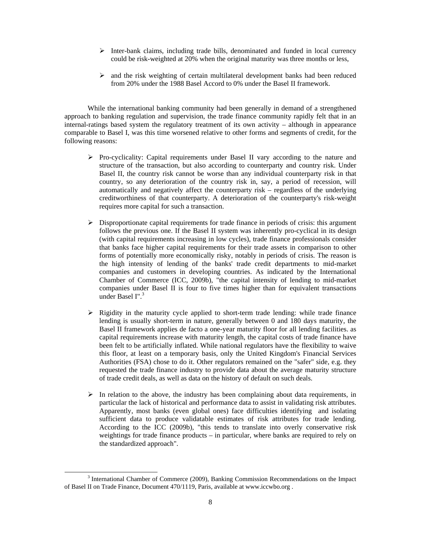- $\triangleright$  Inter-bank claims, including trade bills, denominated and funded in local currency could be risk-weighted at 20% when the original maturity was three months or less,
- $\triangleright$  and the risk weighting of certain multilateral development banks had been reduced from 20% under the 1988 Basel Accord to 0% under the Basel II framework.

 While the international banking community had been generally in demand of a strengthened approach to banking regulation and supervision, the trade finance community rapidly felt that in an internal-ratings based system the regulatory treatment of its own activity – although in appearance comparable to Basel I, was this time worsened relative to other forms and segments of credit, for the following reasons:

- $\triangleright$  Pro-cyclicality: Capital requirements under Basel II vary according to the nature and structure of the transaction, but also according to counterparty and country risk. Under Basel II, the country risk cannot be worse than any individual counterparty risk in that country, so any deterioration of the country risk in, say, a period of recession, will automatically and negatively affect the counterparty risk – regardless of the underlying creditworthiness of that counterparty. A deterioration of the counterparty's risk-weight requires more capital for such a transaction.
- $\triangleright$  Disproportionate capital requirements for trade finance in periods of crisis: this argument follows the previous one. If the Basel II system was inherently pro-cyclical in its design (with capital requirements increasing in low cycles), trade finance professionals consider that banks face higher capital requirements for their trade assets in comparison to other forms of potentially more economically risky, notably in periods of crisis. The reason is the high intensity of lending of the banks' trade credit departments to mid-market companies and customers in developing countries. As indicated by the International Chamber of Commerce (ICC, 2009b), "the capital intensity of lending to mid-market companies under Basel II is four to five times higher than for equivalent transactions under Basel I".<sup>3</sup>
- $\triangleright$  Rigidity in the maturity cycle applied to short-term trade lending: while trade finance lending is usually short-term in nature, generally between 0 and 180 days maturity, the Basel II framework applies de facto a one-year maturity floor for all lending facilities. as capital requirements increase with maturity length, the capital costs of trade finance have been felt to be artificially inflated. While national regulators have the flexibility to waive this floor, at least on a temporary basis, only the United Kingdom's Financial Services Authorities (FSA) chose to do it. Other regulators remained on the "safer" side, e.g. they requested the trade finance industry to provide data about the average maturity structure of trade credit deals, as well as data on the history of default on such deals.
- $\triangleright$  In relation to the above, the industry has been complaining about data requirements, in particular the lack of historical and performance data to assist in validating risk attributes. Apparently, most banks (even global ones) face difficulties identifying and isolating sufficient data to produce validatable estimates of risk attributes for trade lending. According to the ICC (2009b), "this tends to translate into overly conservative risk weightings for trade finance products – in particular, where banks are required to rely on the standardized approach".

 $\frac{1}{3}$ <sup>3</sup> International Chamber of Commerce (2009), Banking Commission Recommendations on the Impact of Basel II on Trade Finance, Document 470/1119, Paris, available at www.iccwbo.org .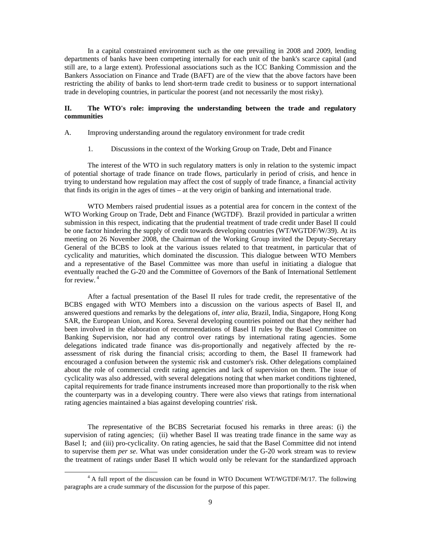In a capital constrained environment such as the one prevailing in 2008 and 2009, lending departments of banks have been competing internally for each unit of the bank's scarce capital (and still are, to a large extent). Professional associations such as the ICC Banking Commission and the Bankers Association on Finance and Trade (BAFT) are of the view that the above factors have been restricting the ability of banks to lend short-term trade credit to business or to support international trade in developing countries, in particular the poorest (and not necessarily the most risky).

## **II. The WTO's role: improving the understanding between the trade and regulatory communities**

A. Improving understanding around the regulatory environment for trade credit

1. Discussions in the context of the Working Group on Trade, Debt and Finance

The interest of the WTO in such regulatory matters is only in relation to the systemic impact of potential shortage of trade finance on trade flows, particularly in period of crisis, and hence in trying to understand how regulation may affect the cost of supply of trade finance, a financial activity that finds its origin in the ages of times – at the very origin of banking and international trade.

WTO Members raised prudential issues as a potential area for concern in the context of the WTO Working Group on Trade, Debt and Finance (WGTDF). Brazil provided in particular a written submission in this respect, indicating that the prudential treatment of trade credit under Basel II could be one factor hindering the supply of credit towards developing countries (WT/WGTDF/W/39). At its meeting on 26 November 2008, the Chairman of the Working Group invited the Deputy-Secretary General of the BCBS to look at the various issues related to that treatment, in particular that of cyclicality and maturities, which dominated the discussion. This dialogue between WTO Members and a representative of the Basel Committee was more than useful in initiating a dialogue that eventually reached the G-20 and the Committee of Governors of the Bank of International Settlement for review. $4$ 

After a factual presentation of the Basel II rules for trade credit, the representative of the BCBS engaged with WTO Members into a discussion on the various aspects of Basel II, and answered questions and remarks by the delegations of, *inter alia*, Brazil, India, Singapore, Hong Kong SAR, the European Union, and Korea. Several developing countries pointed out that they neither had been involved in the elaboration of recommendations of Basel II rules by the Basel Committee on Banking Supervision, nor had any control over ratings by international rating agencies. Some delegations indicated trade finance was dis-proportionally and negatively affected by the reassessment of risk during the financial crisis; according to them, the Basel II framework had encouraged a confusion between the systemic risk and customer's risk. Other delegations complained about the role of commercial credit rating agencies and lack of supervision on them. The issue of cyclicality was also addressed, with several delegations noting that when market conditions tightened, capital requirements for trade finance instruments increased more than proportionally to the risk when the counterparty was in a developing country. There were also views that ratings from international rating agencies maintained a bias against developing countries' risk.

The representative of the BCBS Secretariat focused his remarks in three areas: (i) the supervision of rating agencies; (ii) whether Basel II was treating trade finance in the same way as Basel I; and (iii) pro-cyclicality. On rating agencies, he said that the Basel Committee did not intend to supervise them *per se*. What was under consideration under the G-20 work stream was to review the treatment of ratings under Basel II which would only be relevant for the standardized approach

 $\frac{1}{4}$  $4$  A full report of the discussion can be found in WTO Document WT/WGTDF/M/17. The following paragraphs are a crude summary of the discussion for the purpose of this paper.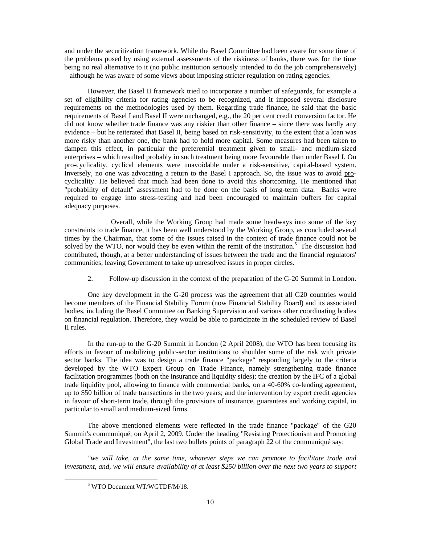and under the securitization framework. While the Basel Committee had been aware for some time of the problems posed by using external assessments of the riskiness of banks, there was for the time being no real alternative to it (no public institution seriously intended to do the job comprehensively) – although he was aware of some views about imposing stricter regulation on rating agencies.

However, the Basel II framework tried to incorporate a number of safeguards, for example a set of eligibility criteria for rating agencies to be recognized, and it imposed several disclosure requirements on the methodologies used by them. Regarding trade finance, he said that the basic requirements of Basel I and Basel II were unchanged, e.g., the 20 per cent credit conversion factor. He did not know whether trade finance was any riskier than other finance – since there was hardly any evidence – but he reiterated that Basel II, being based on risk-sensitivity, to the extent that a loan was more risky than another one, the bank had to hold more capital. Some measures had been taken to dampen this effect, in particular the preferential treatment given to small- and medium-sized enterprises – which resulted probably in such treatment being more favourable than under Basel I. On pro-cyclicality, cyclical elements were unavoidable under a risk-sensitive, capital-based system. Inversely, no one was advocating a return to the Basel I approach. So, the issue was to avoid procyclicality. He believed that much had been done to avoid this shortcoming. He mentioned that "probability of default" assessment had to be done on the basis of long-term data. Banks were required to engage into stress-testing and had been encouraged to maintain buffers for capital adequacy purposes.

 Overall, while the Working Group had made some headways into some of the key constraints to trade finance, it has been well understood by the Working Group, as concluded several times by the Chairman, that some of the issues raised in the context of trade finance could not be solved by the WTO, nor would they be even within the remit of the institution.<sup>5</sup> The discussion had contributed, though, at a better understanding of issues between the trade and the financial regulators' communities, leaving Government to take up unresolved issues in proper circles.

2. Follow-up discussion in the context of the preparation of the G-20 Summit in London.

One key development in the G-20 process was the agreement that all G20 countries would become members of the Financial Stability Forum (now Financial Stability Board) and its associated bodies, including the Basel Committee on Banking Supervision and various other coordinating bodies on financial regulation. Therefore, they would be able to participate in the scheduled review of Basel II rules.

In the run-up to the G-20 Summit in London (2 April 2008), the WTO has been focusing its efforts in favour of mobilizing public-sector institutions to shoulder some of the risk with private sector banks. The idea was to design a trade finance "package" responding largely to the criteria developed by the WTO Expert Group on Trade Finance, namely strengthening trade finance facilitation programmes (both on the insurance and liquidity sides); the creation by the IFC of a global trade liquidity pool, allowing to finance with commercial banks, on a 40-60% co-lending agreement, up to \$50 billion of trade transactions in the two years; and the intervention by export credit agencies in favour of short-term trade, through the provisions of insurance, guarantees and working capital, in particular to small and medium-sized firms.

The above mentioned elements were reflected in the trade finance "package" of the G20 Summit's communiqué, on April 2, 2009. Under the heading "Resisting Protectionism and Promoting Global Trade and Investment", the last two bullets points of paragraph 22 of the communiqué say:

*"we will take, at the same time, whatever steps we can promote to facilitate trade and investment, and, we will ensure availability of at least \$250 billion over the next two years to support* 

 $\frac{1}{5}$ <sup>5</sup> WTO Document WT/WGTDF/M/18.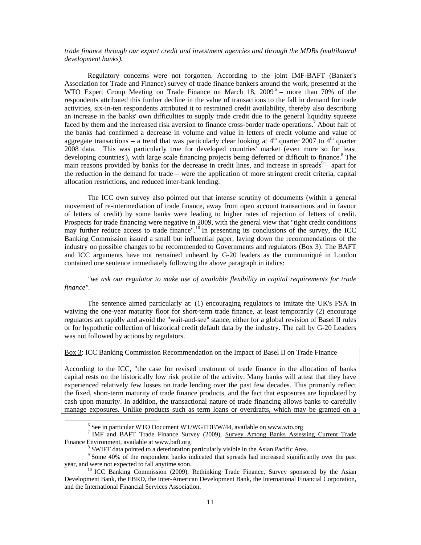*trade finance through our export credit and investment agencies and through the MDBs (multilateral development banks).* 

Regulatory concerns were not forgotten. According to the joint IMF-BAFT (Banker's Association for Trade and Finance) survey of trade finance bankers around the work, presented at the WTO Expert Group Meeting on Trade Finance on March 18,  $2009^6$  – more than 70% of the respondents attributed this further decline in the value of transactions to the fall in demand for trade activities, six-in-ten respondents attributed it to restrained credit availability, thereby also describing an increase in the banks' own difficulties to supply trade credit due to the general liquidity squeeze faced by them and the increased risk aversion to finance cross-border trade operations.<sup>7</sup> About half of the banks had confirmed a decrease in volume and value in letters of credit volume and value of aggregate transactions – a trend that was particularly clear looking at  $4<sup>th</sup>$  quarter 2007 to  $4<sup>th</sup>$  quarter 2008 data. This was particularly true for developed countries' market (even more so for least developing countries'), with large scale financing projects being deferred or difficult to finance.<sup>8</sup> The main reasons provided by banks for the decrease in credit lines, and increase in spreads $9 -$  apart for the reduction in the demand for trade – were the application of more stringent credit criteria, capital allocation restrictions, and reduced inter-bank lending.

The ICC own survey also pointed out that intense scrutiny of documents (within a general movement of re-intermediation of trade finance, away from open account transactions and in favour of letters of credit) by some banks were leading to higher rates of rejection of letters of credit. Prospects for trade financing were negative in 2009, with the general view that "tight credit conditions may further reduce access to trade finance".<sup>10</sup> In presenting its conclusions of the survey, the ICC Banking Commission issued a small but influential paper, laying down the recommendations of the industry on possible changes to be recommended to Governments and regulators (Box 3). The BAFT and ICC arguments have not remained unheard by G-20 leaders as the communiqué in London contained one sentence immediately following the above paragraph in italics:

*"we ask our regulator to make use of available flexibility in capital requirements for trade finance".* 

The sentence aimed particularly at: (1) encouraging regulators to imitate the UK's FSA in waiving the one-year maturity floor for short-term trade finance, at least temporarily (2) encourage regulators act rapidly and avoid the "wait-and-see" stance, either for a global revision of Basel II rules or for hypothetic collection of historical credit default data by the industry. The call by G-20 Leaders was not followed by actions by regulators.

## Box 3: ICC Banking Commission Recommendation on the Impact of Basel II on Trade Finance

According to the ICC, "the case for revised treatment of trade finance in the allocation of banks capital rests on the historically low risk profile of the activity. Many banks will attest that they have experienced relatively few losses on trade lending over the past few decades. This primarily reflect the fixed, short-term maturity of trade finance products, and the fact that exposures are liquidated by cash upon maturity. In addition, the transactional nature of trade financing allows banks to carefully manage exposures. Unlike products such as term loans or overdrafts, which may be granted on a

 <sup>6</sup>  $6$  See in particular WTO Document WT/WGTDF/W/44, available on www.wto.org

<sup>&</sup>lt;sup>7</sup> IMF and BAFT Trade Finance Survey (2009), Survey Among Banks Assessing Current Trade Finance Environment, available at www.baft.org 8

 $8$  SWIFT data pointed to a deterioration particularly visible in the Asian Pacific Area.

<sup>&</sup>lt;sup>9</sup> Some 40% of the respondent banks indicated that spreads had increased significantly over the past year, and were not expected to fall anytime soon.<br><sup>10</sup> ICC Banking Commission (2009), Rethinking Trade Finance, Survey sponsored by the Asian

Development Bank, the EBRD, the Inter-American Development Bank, the International Financial Corporation, and the International Financial Services Association.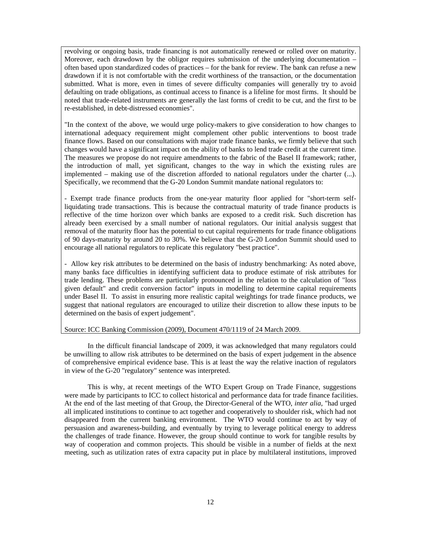revolving or ongoing basis, trade financing is not automatically renewed or rolled over on maturity. Moreover, each drawdown by the obligor requires submission of the underlying documentation – often based upon standardized codes of practices – for the bank for review. The bank can refuse a new drawdown if it is not comfortable with the credit worthiness of the transaction, or the documentation submitted. What is more, even in times of severe difficulty companies will generally try to avoid defaulting on trade obligations, as continual access to finance is a lifeline for most firms. It should be noted that trade-related instruments are generally the last forms of credit to be cut, and the first to be re-established, in debt-distressed economies".

"In the context of the above, we would urge policy-makers to give consideration to how changes to international adequacy requirement might complement other public interventions to boost trade finance flows. Based on our consultations with major trade finance banks, we firmly believe that such changes would have a significant impact on the ability of banks to lend trade credit at the current time. The measures we propose do not require amendments to the fabric of the Basel II framework; rather, the introduction of mall, yet significant, changes to the way in which the existing rules are implemented – making use of the discretion afforded to national regulators under the charter (...). Specifically, we recommend that the G-20 London Summit mandate national regulators to:

- Exempt trade finance products from the one-year maturity floor applied for "short-term selfliquidating trade transactions. This is because the contractual maturity of trade finance products is reflective of the time horizon over which banks are exposed to a credit risk. Such discretion has already been exercised by a small number of national regulators. Our initial analysis suggest that removal of the maturity floor has the potential to cut capital requirements for trade finance obligations of 90 days-maturity by around 20 to 30%. We believe that the G-20 London Summit should used to encourage all national regulators to replicate this regulatory "best practice".

- Allow key risk attributes to be determined on the basis of industry benchmarking: As noted above, many banks face difficulties in identifying sufficient data to produce estimate of risk attributes for trade lending. These problems are particularly pronounced in the relation to the calculation of "loss given default" and credit conversion factor" inputs in modelling to determine capital requirements under Basel II. To assist in ensuring more realistic capital weightings for trade finance products, we suggest that national regulators are encouraged to utilize their discretion to allow these inputs to be determined on the basis of expert judgement".

#### Source: ICC Banking Commission (2009), Document 470/1119 of 24 March 2009.

 In the difficult financial landscape of 2009, it was acknowledged that many regulators could be unwilling to allow risk attributes to be determined on the basis of expert judgement in the absence of comprehensive empirical evidence base. This is at least the way the relative inaction of regulators in view of the G-20 "regulatory" sentence was interpreted.

This is why, at recent meetings of the WTO Expert Group on Trade Finance, suggestions were made by participants to ICC to collect historical and performance data for trade finance facilities. At the end of the last meeting of that Group, the Director-General of the WTO, *inter alia*, "had urged all implicated institutions to continue to act together and cooperatively to shoulder risk, which had not disappeared from the current banking environment. The WTO would continue to act by way of persuasion and awareness-building, and eventually by trying to leverage political energy to address the challenges of trade finance. However, the group should continue to work for tangible results by way of cooperation and common projects. This should be visible in a number of fields at the next meeting, such as utilization rates of extra capacity put in place by multilateral institutions, improved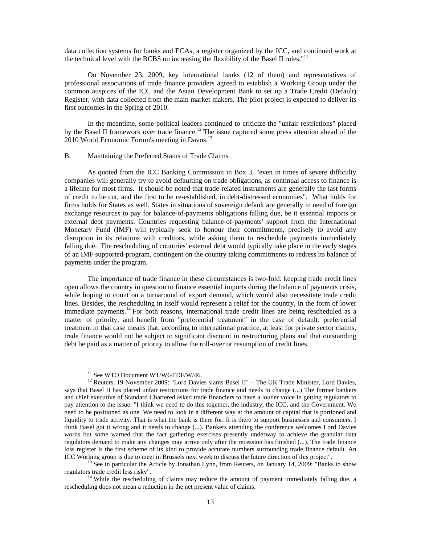data collection systems for banks and ECAs, a register organized by the ICC, and continued work at the technical level with the BCBS on increasing the flexibility of the Basel II rules."<sup>11</sup>

On November 23, 2009, key international banks (12 of them) and representatives of professional associations of trade finance providers agreed to establish a Working Group under the common auspices of the ICC and the Asian Development Bank to set up a Trade Credit (Default) Register, with data collected from the main market makers. The pilot project is expected to deliver its first outcomes in the Spring of 2010.

In the meantime, some political leaders continued to criticize the "unfair restrictions" placed by the Basel II framework over trade finance.<sup>12</sup> The issue captured some press attention ahead of the 2010 World Economic Forum's meeting in Davos.<sup>13</sup>

#### B. Maintaining the Preferred Status of Trade Claims

As quoted from the ICC Banking Commission in Box 3, "even in times of severe difficulty companies will generally try to avoid defaulting on trade obligations, as continual access to finance is a lifeline for most firms. It should be noted that trade-related instruments are generally the last forms of credit to be cut, and the first to be re-established, in debt-distressed economies". What holds for firms holds for States as well. States in situations of sovereign default are generally in need of foreign exchange resources to pay for balance-of-payments obligations falling due, be it essential imports or external debt payments. Countries requesting balance-of-payments' support from the International Monetary Fund (IMF) will typically seek to honour their commitments, precisely to avoid any disruption in its relations with creditors, while asking them to reschedule payments immediately falling due. The rescheduling of countries' external debt would typically take place in the early stages of an IMF supported-program, contingent on the country taking commitments to redress its balance of payments under the program.

The importance of trade finance in these circumstances is two-fold: keeping trade credit lines open allows the country in question to finance essential imports during the balance of payments crisis, while hoping to count on a turnaround of export demand, which would also necessitate trade credit lines. Besides, the rescheduling in itself would represent a relief for the country, in the form of lower immediate payments.<sup>14</sup> For both reasons, international trade credit lines are being rescheduled as a matter of priority, and benefit from "preferential treatment" in the case of default: preferential treatment in that case means that, according to international practice, at least for private sector claims, trade finance would not be subject to significant discount in restructuring plans and that outstanding debt be paid as a matter of priority to allow the roll-over or resumption of credit lines.

<sup>&</sup>lt;sup>11</sup> See WTO Document WT/WGTDF/W/46.

<sup>&</sup>lt;sup>12</sup> Reuters, 19 November 2009: "Lord Davies slams Basel II" – The UK Trade Minister, Lord Davies, says that Basel II has placed unfair restrictions for trade finance and needs to change (...) The former bankers and chief executive of Standard Chartered asked trade financiers to have a louder voice in getting regulators to pay attention to the issue: "I think we need to do this together, the industry, the ICC, and the Government. We need to be positioned as one. We need to look in a different way at the amount of capital that is portioned and liquidity to trade activity. That is what the bank is there for. It is there to support businesses and consumers. I think Basel got it wrong and it needs to change (...). Bankers attending the conference welcomes Lord Davies words but some warned that the fact gathering exercises presently underway to achieve the granular data regulators demand to make any changes may arrive only after the recession has finished (...). The trade finance loss register is the first scheme of its kind to provide accurate numbers surrounding trade finance default. An

ICC Working group is due to meet in Brussels next week to discuss the future direction of this project".<br><sup>13</sup> See in particular the Article by Jonathan Lynn, from Reuters, on January 14, 2009: "Banks to show regulators tra

<sup>&</sup>lt;sup>14</sup> While the rescheduling of claims may reduce the amount of payment immediately falling due, a rescheduling does not mean a reduction in the net present value of claims.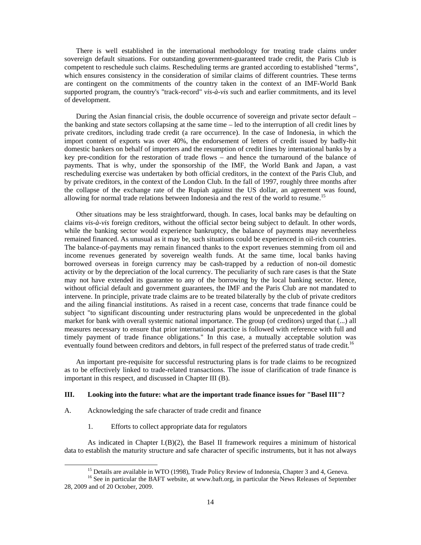There is well established in the international methodology for treating trade claims under sovereign default situations. For outstanding government-guaranteed trade credit, the Paris Club is competent to reschedule such claims. Rescheduling terms are granted according to established "terms", which ensures consistency in the consideration of similar claims of different countries. These terms are contingent on the commitments of the country taken in the context of an IMF-World Bank supported program, the country's "track-record" *vis-à-vis* such and earlier commitments, and its level of development.

During the Asian financial crisis, the double occurrence of sovereign and private sector default – the banking and state sectors collapsing at the same time – led to the interruption of all credit lines by private creditors, including trade credit (a rare occurrence). In the case of Indonesia, in which the import content of exports was over 40%, the endorsement of letters of credit issued by badly-hit domestic bankers on behalf of importers and the resumption of credit lines by international banks by a key pre-condition for the restoration of trade flows – and hence the turnaround of the balance of payments. That is why, under the sponsorship of the IMF, the World Bank and Japan, a vast rescheduling exercise was undertaken by both official creditors, in the context of the Paris Club, and by private creditors, in the context of the London Club. In the fall of 1997, roughly three months after the collapse of the exchange rate of the Rupiah against the US dollar, an agreement was found, allowing for normal trade relations between Indonesia and the rest of the world to resume.<sup>15</sup>

Other situations may be less straightforward, though. In cases, local banks may be defaulting on claims *vis-à-vis* foreign creditors, without the official sector being subject to default. In other words, while the banking sector would experience bankruptcy, the balance of payments may nevertheless remained financed. As unusual as it may be, such situations could be experienced in oil-rich countries. The balance-of-payments may remain financed thanks to the export revenues stemming from oil and income revenues generated by sovereign wealth funds. At the same time, local banks having borrowed overseas in foreign currency may be cash-trapped by a reduction of non-oil domestic activity or by the depreciation of the local currency. The peculiarity of such rare cases is that the State may not have extended its guarantee to any of the borrowing by the local banking sector. Hence, without official default and government guarantees, the IMF and the Paris Club are not mandated to intervene. In principle, private trade claims are to be treated bilaterally by the club of private creditors and the ailing financial institutions. As raised in a recent case, concerns that trade finance could be subject "to significant discounting under restructuring plans would be unprecedented in the global market for bank with overall systemic national importance. The group (of creditors) urged that (...) all measures necessary to ensure that prior international practice is followed with reference with full and timely payment of trade finance obligations." In this case, a mutually acceptable solution was eventually found between creditors and debtors, in full respect of the preferred status of trade credit.<sup>16</sup>

An important pre-requisite for successful restructuring plans is for trade claims to be recognized as to be effectively linked to trade-related transactions. The issue of clarification of trade finance is important in this respect, and discussed in Chapter III (B).

#### **III. Looking into the future: what are the important trade finance issues for "Basel III"?**

- A. Acknowledging the safe character of trade credit and finance
	- 1. Efforts to collect appropriate data for regulators

As indicated in Chapter I. $(B)(2)$ , the Basel II framework requires a minimum of historical data to establish the maturity structure and safe character of specific instruments, but it has not always

<sup>&</sup>lt;sup>15</sup> Details are available in WTO (1998), Trade Policy Review of Indonesia, Chapter 3 and 4, Geneva.

<sup>&</sup>lt;sup>16</sup> See in particular the BAFT website, at www.baft.org, in particular the News Releases of September 28, 2009 and of 20 October, 2009.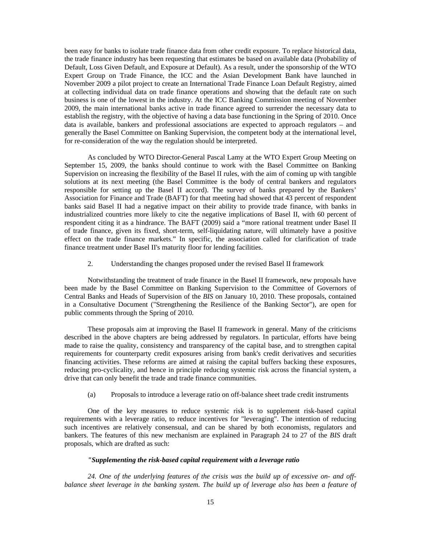been easy for banks to isolate trade finance data from other credit exposure. To replace historical data, the trade finance industry has been requesting that estimates be based on available data (Probability of Default, Loss Given Default, and Exposure at Default). As a result, under the sponsorship of the WTO Expert Group on Trade Finance, the ICC and the Asian Development Bank have launched in November 2009 a pilot project to create an International Trade Finance Loan Default Registry, aimed at collecting individual data on trade finance operations and showing that the default rate on such business is one of the lowest in the industry. At the ICC Banking Commission meeting of November 2009, the main international banks active in trade finance agreed to surrender the necessary data to establish the registry, with the objective of having a data base functioning in the Spring of 2010. Once data is available, bankers and professional associations are expected to approach regulators – and generally the Basel Committee on Banking Supervision, the competent body at the international level, for re-consideration of the way the regulation should be interpreted.

As concluded by WTO Director-General Pascal Lamy at the WTO Expert Group Meeting on September 15, 2009, the banks should continue to work with the Basel Committee on Banking Supervision on increasing the flexibility of the Basel II rules, with the aim of coming up with tangible solutions at its next meeting (the Basel Committee is the body of central bankers and regulators responsible for setting up the Basel II accord). The survey of banks prepared by the Bankers' Association for Finance and Trade (BAFT) for that meeting had showed that 43 percent of respondent banks said Basel II had a negative impact on their ability to provide trade finance, with banks in industrialized countries more likely to cite the negative implications of Basel II, with 60 percent of respondent citing it as a hindrance. The BAFT (2009) said a "more rational treatment under Basel II of trade finance, given its fixed, short-term, self-liquidating nature, will ultimately have a positive effect on the trade finance markets." In specific, the association called for clarification of trade finance treatment under Basel II's maturity floor for lending facilities.

2. Understanding the changes proposed under the revised Basel II framework

 Notwithstanding the treatment of trade finance in the Basel II framework, new proposals have been made by the Basel Committee on Banking Supervision to the Committee of Governors of Central Banks and Heads of Supervision of the *BIS* on January 10, 2010. These proposals, contained in a Consultative Document ("Strengthening the Resilience of the Banking Sector"), are open for public comments through the Spring of 2010.

 These proposals aim at improving the Basel II framework in general. Many of the criticisms described in the above chapters are being addressed by regulators. In particular, efforts have being made to raise the quality, consistency and transparency of the capital base, and to strengthen capital requirements for counterparty credit exposures arising from bank's credit derivatives and securities financing activities. These reforms are aimed at raising the capital buffers backing these exposures, reducing pro-cyclicality, and hence in principle reducing systemic risk across the financial system, a drive that can only benefit the trade and trade finance communities.

(a) Proposals to introduce a leverage ratio on off-balance sheet trade credit instruments

 One of the key measures to reduce systemic risk is to supplement risk-based capital requirements with a leverage ratio, to reduce incentives for "leveraging". The intention of reducing such incentives are relatively consensual, and can be shared by both economists, regulators and bankers. The features of this new mechanism are explained in Paragraph 24 to 27 of the *BIS* draft proposals, which are drafted as such:

#### *"Supplementing the risk-based capital requirement with a leverage ratio*

*24. One of the underlying features of the crisis was the build up of excessive on- and offbalance sheet leverage in the banking system. The build up of leverage also has been a feature of*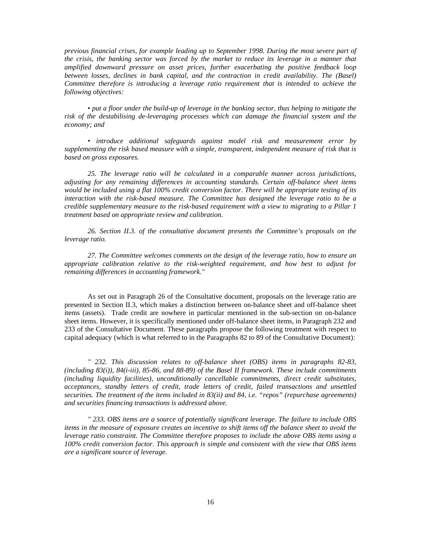*previous financial crises, for example leading up to September 1998. During the most severe part of the crisis, the banking sector was forced by the market to reduce its leverage in a manner that amplified downward pressure on asset prices, further exacerbating the positive feedback loop between losses, declines in bank capital, and the contraction in credit availability. The (Basel) Committee therefore is introducing a leverage ratio requirement that is intended to achieve the following objectives:* 

*• put a floor under the build-up of leverage in the banking sector, thus helping to mitigate the risk of the destabilising de-leveraging processes which can damage the financial system and the economy; and* 

*• introduce additional safeguards against model risk and measurement error by supplementing the risk based measure with a simple, transparent, independent measure of risk that is based on gross exposures.* 

*25. The leverage ratio will be calculated in a comparable manner across jurisdictions, adjusting for any remaining differences in accounting standards. Certain off-balance sheet items would be included using a flat 100% credit conversion factor. There will be appropriate testing of its interaction with the risk-based measure. The Committee has designed the leverage ratio to be a credible supplementary measure to the risk-based requirement with a view to migrating to a Pillar 1 treatment based on appropriate review and calibration.* 

*26. Section II.3. of the consultative document presents the Committee's proposals on the leverage ratio.* 

*27. The Committee welcomes comments on the design of the leverage ratio, how to ensure an appropriate calibration relative to the risk-weighted requirement, and how best to adjust for remaining differences in accounting framework."* 

As set out in Paragraph 26 of the Consultative document, proposals on the leverage ratio are presented in Section II.3, which makes a distinction between on-balance sheet and off-balance sheet items (assets). Trade credit are nowhere in particular mentioned in the sub-section on on-balance sheet items. However, it is specifically mentioned under off-balance sheet items, in Paragraph 232 and 233 of the Consultative Document. These paragraphs propose the following treatment with respect to capital adequacy (which is what referred to in the Paragraphs 82 to 89 of the Consultative Document):

*" 232. This discussion relates to off-balance sheet (OBS) items in paragraphs 82-83, (including 83(i)), 84(i-iii), 85-86, and 88-89) of the Basel II framework. These include commitments (including liquidity facilities), unconditionally cancellable commitments, direct credit substitutes, acceptances, standby letters of credit, trade letters of credit, failed transactions and unsettled securities. The treatment of the items included in 83(ii) and 84, i.e. "repos" (repurchase agreements) and securities financing transactions is addressed above.* 

*" 233. OBS items are a source of potentially significant leverage. The failure to include OBS items in the measure of exposure creates an incentive to shift items off the balance sheet to avoid the leverage ratio constraint. The Committee therefore proposes to include the above OBS items using a 100% credit conversion factor. This approach is simple and consistent with the view that OBS items are a significant source of leverage.*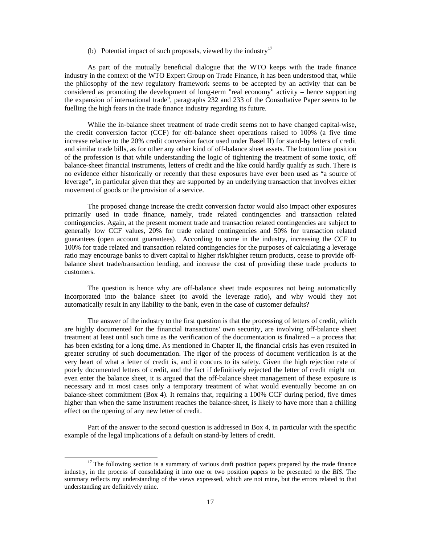(b) Potential impact of such proposals, viewed by the industry<sup>17</sup>

 As part of the mutually beneficial dialogue that the WTO keeps with the trade finance industry in the context of the WTO Expert Group on Trade Finance, it has been understood that, while the philosophy of the new regulatory framework seems to be accepted by an activity that can be considered as promoting the development of long-term "real economy" activity – hence supporting the expansion of international trade", paragraphs 232 and 233 of the Consultative Paper seems to be fuelling the high fears in the trade finance industry regarding its future.

 While the in-balance sheet treatment of trade credit seems not to have changed capital-wise, the credit conversion factor (CCF) for off-balance sheet operations raised to 100% (a five time increase relative to the 20% credit conversion factor used under Basel II) for stand-by letters of credit and similar trade bills, as for other any other kind of off-balance sheet assets. The bottom line position of the profession is that while understanding the logic of tightening the treatment of some toxic, off balance-sheet financial instruments, letters of credit and the like could hardly qualify as such. There is no evidence either historically or recently that these exposures have ever been used as "a source of leverage", in particular given that they are supported by an underlying transaction that involves either movement of goods or the provision of a service.

 The proposed change increase the credit conversion factor would also impact other exposures primarily used in trade finance, namely, trade related contingencies and transaction related contingencies. Again, at the present moment trade and transaction related contingencies are subject to generally low CCF values, 20% for trade related contingencies and 50% for transaction related guarantees (open account guarantees). According to some in the industry, increasing the CCF to 100% for trade related and transaction related contingencies for the purposes of calculating a leverage ratio may encourage banks to divert capital to higher risk/higher return products, cease to provide offbalance sheet trade/transaction lending, and increase the cost of providing these trade products to customers.

 The question is hence why are off-balance sheet trade exposures not being automatically incorporated into the balance sheet (to avoid the leverage ratio), and why would they not automatically result in any liability to the bank, even in the case of customer defaults?

 The answer of the industry to the first question is that the processing of letters of credit, which are highly documented for the financial transactions' own security, are involving off-balance sheet treatment at least until such time as the verification of the documentation is finalized – a process that has been existing for a long time. As mentioned in Chapter II, the financial crisis has even resulted in greater scrutiny of such documentation. The rigor of the process of document verification is at the very heart of what a letter of credit is, and it concurs to its safety. Given the high rejection rate of poorly documented letters of credit, and the fact if definitively rejected the letter of credit might not even enter the balance sheet, it is argued that the off-balance sheet management of these exposure is necessary and in most cases only a temporary treatment of what would eventually become an on balance-sheet commitment (Box 4). It remains that, requiring a 100% CCF during period, five times higher than when the same instrument reaches the balance-sheet, is likely to have more than a chilling effect on the opening of any new letter of credit.

 Part of the answer to the second question is addressed in Box 4, in particular with the specific example of the legal implications of a default on stand-by letters of credit.

 $17$  The following section is a summary of various draft position papers prepared by the trade finance industry, in the process of consolidating it into one or two position papers to be presented to the *BIS*. The summary reflects my understanding of the views expressed, which are not mine, but the errors related to that understanding are definitively mine.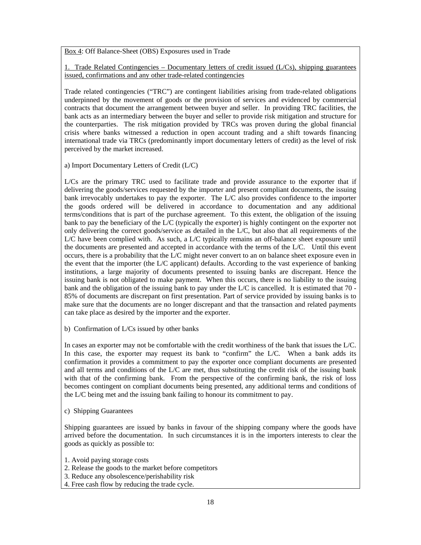Box 4: Off Balance-Sheet (OBS) Exposures used in Trade

1. Trade Related Contingencies – Documentary letters of credit issued (L/Cs), shipping guarantees issued, confirmations and any other trade-related contingencies

Trade related contingencies ("TRC") are contingent liabilities arising from trade-related obligations underpinned by the movement of goods or the provision of services and evidenced by commercial contracts that document the arrangement between buyer and seller. In providing TRC facilities, the bank acts as an intermediary between the buyer and seller to provide risk mitigation and structure for the counterparties. The risk mitigation provided by TRCs was proven during the global financial crisis where banks witnessed a reduction in open account trading and a shift towards financing international trade via TRCs (predominantly import documentary letters of credit) as the level of risk perceived by the market increased.

a) Import Documentary Letters of Credit (L/C)

L/Cs are the primary TRC used to facilitate trade and provide assurance to the exporter that if delivering the goods/services requested by the importer and present compliant documents, the issuing bank irrevocably undertakes to pay the exporter. The L/C also provides confidence to the importer the goods ordered will be delivered in accordance to documentation and any additional terms/conditions that is part of the purchase agreement. To this extent, the obligation of the issuing bank to pay the beneficiary of the L/C (typically the exporter) is highly contingent on the exporter not only delivering the correct goods/service as detailed in the L/C, but also that all requirements of the L/C have been complied with. As such, a L/C typically remains an off-balance sheet exposure until the documents are presented and accepted in accordance with the terms of the L/C. Until this event occurs, there is a probability that the L/C might never convert to an on balance sheet exposure even in the event that the importer (the L/C applicant) defaults. According to the vast experience of banking institutions, a large majority of documents presented to issuing banks are discrepant. Hence the issuing bank is not obligated to make payment. When this occurs, there is no liability to the issuing bank and the obligation of the issuing bank to pay under the L/C is cancelled. It is estimated that 70 - 85% of documents are discrepant on first presentation. Part of service provided by issuing banks is to make sure that the documents are no longer discrepant and that the transaction and related payments can take place as desired by the importer and the exporter.

b) Confirmation of L/Cs issued by other banks

In cases an exporter may not be comfortable with the credit worthiness of the bank that issues the L/C. In this case, the exporter may request its bank to "confirm" the L/C. When a bank adds its confirmation it provides a commitment to pay the exporter once compliant documents are presented and all terms and conditions of the L/C are met, thus substituting the credit risk of the issuing bank with that of the confirming bank. From the perspective of the confirming bank, the risk of loss becomes contingent on compliant documents being presented, any additional terms and conditions of the L/C being met and the issuing bank failing to honour its commitment to pay.

c) Shipping Guarantees

Shipping guarantees are issued by banks in favour of the shipping company where the goods have arrived before the documentation. In such circumstances it is in the importers interests to clear the goods as quickly as possible to:

- 1. Avoid paying storage costs
- 2. Release the goods to the market before competitors
- 3. Reduce any obsolescence/perishability risk
- 4. Free cash flow by reducing the trade cycle.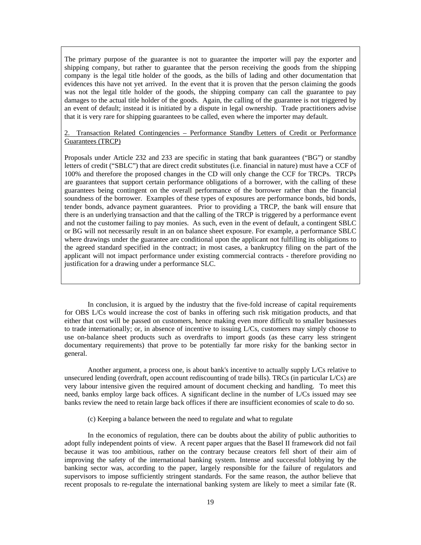The primary purpose of the guarantee is not to guarantee the importer will pay the exporter and shipping company, but rather to guarantee that the person receiving the goods from the shipping company is the legal title holder of the goods, as the bills of lading and other documentation that evidences this have not yet arrived. In the event that it is proven that the person claiming the goods was not the legal title holder of the goods, the shipping company can call the guarantee to pay damages to the actual title holder of the goods. Again, the calling of the guarantee is not triggered by an event of default; instead it is initiated by a dispute in legal ownership. Trade practitioners advise that it is very rare for shipping guarantees to be called, even where the importer may default.

## 2. Transaction Related Contingencies – Performance Standby Letters of Credit or Performance Guarantees (TRCP)

Proposals under Article 232 and 233 are specific in stating that bank guarantees ("BG") or standby letters of credit ("SBLC") that are direct credit substitutes (i.e. financial in nature) must have a CCF of 100% and therefore the proposed changes in the CD will only change the CCF for TRCPs. TRCPs are guarantees that support certain performance obligations of a borrower, with the calling of these guarantees being contingent on the overall performance of the borrower rather than the financial soundness of the borrower. Examples of these types of exposures are performance bonds, bid bonds, tender bonds, advance payment guarantees. Prior to providing a TRCP, the bank will ensure that there is an underlying transaction and that the calling of the TRCP is triggered by a performance event and not the customer failing to pay monies. As such, even in the event of default, a contingent SBLC or BG will not necessarily result in an on balance sheet exposure. For example, a performance SBLC where drawings under the guarantee are conditional upon the applicant not fulfilling its obligations to the agreed standard specified in the contract; in most cases, a bankruptcy filing on the part of the applicant will not impact performance under existing commercial contracts - therefore providing no justification for a drawing under a performance SLC.

 In conclusion, it is argued by the industry that the five-fold increase of capital requirements for OBS L/Cs would increase the cost of banks in offering such risk mitigation products, and that either that cost will be passed on customers, hence making even more difficult to smaller businesses to trade internationally; or, in absence of incentive to issuing L/Cs, customers may simply choose to use on-balance sheet products such as overdrafts to import goods (as these carry less stringent documentary requirements) that prove to be potentially far more risky for the banking sector in general.

 Another argument, a process one, is about bank's incentive to actually supply L/Cs relative to unsecured lending (overdraft, open account rediscounting of trade bills). TRCs (in particular L/Cs) are very labour intensive given the required amount of document checking and handling. To meet this need, banks employ large back offices. A significant decline in the number of L/Cs issued may see banks review the need to retain large back offices if there are insufficient economies of scale to do so.

(c) Keeping a balance between the need to regulate and what to regulate

 In the economics of regulation, there can be doubts about the ability of public authorities to adopt fully independent points of view. A recent paper argues that the Basel II framework did not fail because it was too ambitious, rather on the contrary because creators fell short of their aim of improving the safety of the international banking system. Intense and successful lobbying by the banking sector was, according to the paper, largely responsible for the failure of regulators and supervisors to impose sufficiently stringent standards. For the same reason, the author believe that recent proposals to re-regulate the international banking system are likely to meet a similar fate (R.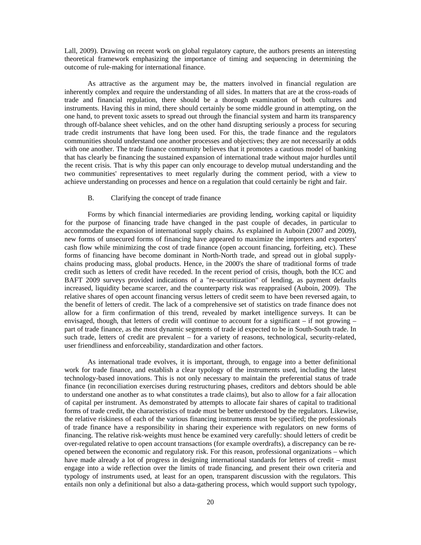Lall, 2009). Drawing on recent work on global regulatory capture, the authors presents an interesting theoretical framework emphasizing the importance of timing and sequencing in determining the outcome of rule-making for international finance.

As attractive as the argument may be, the matters involved in financial regulation are inherently complex and require the understanding of all sides. In matters that are at the cross-roads of trade and financial regulation, there should be a thorough examination of both cultures and instruments. Having this in mind, there should certainly be some middle ground in attempting, on the one hand, to prevent toxic assets to spread out through the financial system and harm its transparency through off-balance sheet vehicles, and on the other hand disrupting seriously a process for securing trade credit instruments that have long been used. For this, the trade finance and the regulators communities should understand one another processes and objectives; they are not necessarily at odds with one another. The trade finance community believes that it promotes a cautious model of banking that has clearly be financing the sustained expansion of international trade without major hurdles until the recent crisis. That is why this paper can only encourage to develop mutual understanding and the two communities' representatives to meet regularly during the comment period, with a view to achieve understanding on processes and hence on a regulation that could certainly be right and fair.

## B. Clarifying the concept of trade finance

Forms by which financial intermediaries are providing lending, working capital or liquidity for the purpose of financing trade have changed in the past couple of decades, in particular to accommodate the expansion of international supply chains. As explained in Auboin (2007 and 2009), new forms of unsecured forms of financing have appeared to maximize the importers and exporters' cash flow while minimizing the cost of trade finance (open account financing, forfeiting, etc). These forms of financing have become dominant in North-North trade, and spread out in global supplychains producing mass, global products. Hence, in the 2000's the share of traditional forms of trade credit such as letters of credit have receded. In the recent period of crisis, though, both the ICC and BAFT 2009 surveys provided indications of a "re-securitization" of lending, as payment defaults increased, liquidity became scarcer, and the counterparty risk was reappraised (Auboin, 2009). The relative shares of open account financing versus letters of credit seem to have been reversed again, to the benefit of letters of credit. The lack of a comprehensive set of statistics on trade finance does not allow for a firm confirmation of this trend, revealed by market intelligence surveys. It can be envisaged, though, that letters of credit will continue to account for a significant  $-$  if not growing  $$ part of trade finance, as the most dynamic segments of trade id expected to be in South-South trade. In such trade, letters of credit are prevalent – for a variety of reasons, technological, security-related, user friendliness and enforceability, standardization and other factors.

As international trade evolves, it is important, through, to engage into a better definitional work for trade finance, and establish a clear typology of the instruments used, including the latest technology-based innovations. This is not only necessary to maintain the preferential status of trade finance (in reconciliation exercises during restructuring phases, creditors and debtors should be able to understand one another as to what constitutes a trade claims), but also to allow for a fair allocation of capital per instrument. As demonstrated by attempts to allocate fair shares of capital to traditional forms of trade credit, the characteristics of trade must be better understood by the regulators. Likewise, the relative riskiness of each of the various financing instruments must be specified; the professionals of trade finance have a responsibility in sharing their experience with regulators on new forms of financing. The relative risk-weights must hence be examined very carefully: should letters of credit be over-regulated relative to open account transactions (for example overdrafts), a discrepancy can be reopened between the economic and regulatory risk. For this reason, professional organizations – which have made already a lot of progress in designing international standards for letters of credit – must engage into a wide reflection over the limits of trade financing, and present their own criteria and typology of instruments used, at least for an open, transparent discussion with the regulators. This entails non only a definitional but also a data-gathering process, which would support such typology,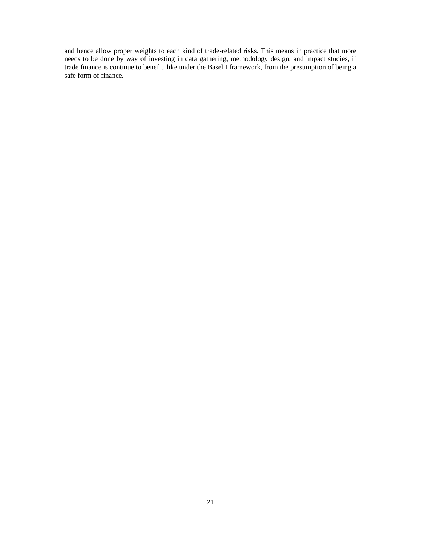and hence allow proper weights to each kind of trade-related risks. This means in practice that more needs to be done by way of investing in data gathering, methodology design, and impact studies, if trade finance is continue to benefit, like under the Basel I framework, from the presumption of being a safe form of finance.